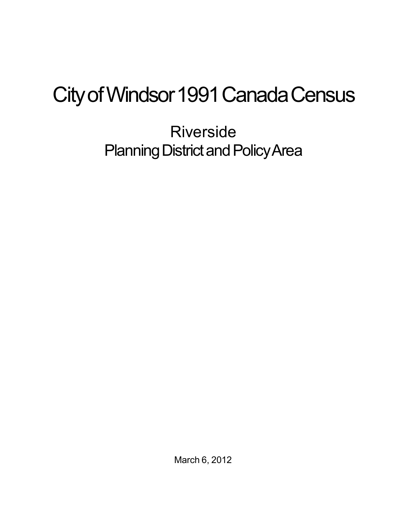## City of Windsor 1991 Canada Census

Riverside Planning District and Policy Area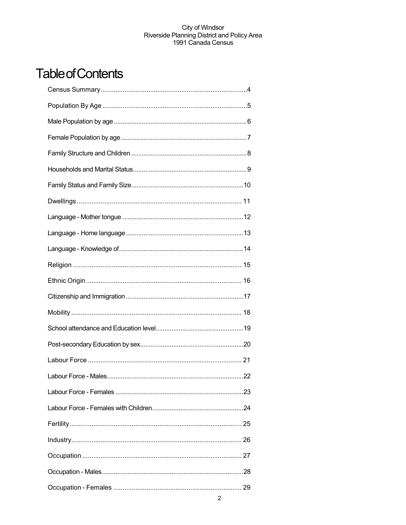## **Table of Contents**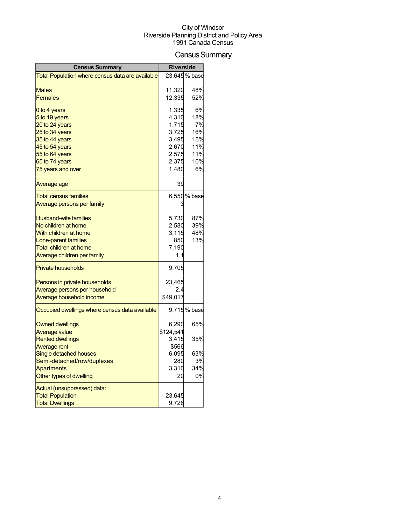## Census Summary

| <b>Census Summary</b>                            | <b>Riverside</b> |               |
|--------------------------------------------------|------------------|---------------|
| Total Population where census data are available |                  | 23,645 % base |
|                                                  |                  |               |
| <b>Males</b>                                     | 11,320           | 48%           |
| <b>Females</b>                                   | 12,335           | 52%           |
| 0 to 4 years                                     | 1,335            | 6%            |
| 5 to 19 years                                    | 4,310            | 18%           |
| 20 to 24 years                                   | 1,715            | 7%            |
| 25 to 34 years                                   | 3,725            | 16%           |
| 35 to 44 years                                   | 3,495            | 15%           |
| 45 to 54 years                                   | 2,670            | 11%           |
| 55 to 64 years                                   | 2,575            | 11%           |
| 65 to 74 years                                   | 2,375            | 10%           |
| 75 years and over                                | 1,480            | 6%            |
| Average age                                      | 39               |               |
| <b>Total census families</b>                     |                  | 6,550 % base  |
| Average persons per family                       |                  |               |
|                                                  |                  |               |
| <b>Husband-wife families</b>                     | 5,730            | 87%           |
| No children at home                              | 2,580            | 39%           |
| With children at home                            | 3,115            | 48%           |
| Lone-parent families                             | 850              | 13%           |
| Total children at home                           | 7,190            |               |
| Average children per family                      | 1.1              |               |
| <b>Private households</b>                        | 9,705            |               |
| Persons in private households                    | 23,465           |               |
| Average persons per household                    | 2.4              |               |
| Average household income                         | \$49,017         |               |
| Occupied dwellings where census data available   |                  | 9,715% base   |
| <b>Owned dwellings</b>                           | 6,290            | 65%           |
| <b>Average value</b>                             | \$124,541        |               |
| <b>Rented dwellings</b>                          | 3,415            | 35%           |
| Average rent                                     | \$566            |               |
| Single detached houses                           | 6,095            | 63%           |
| Semi-detached/row/duplexes                       | 280              | 3%            |
| <b>Apartments</b>                                | 3,310            | 34%           |
| Other types of dwelling                          | 20               | 0%            |
| Actual (unsuppressed) data:                      |                  |               |
| <b>Total Population</b>                          | 23,645           |               |
| <b>Total Dwellings</b>                           | 9,726            |               |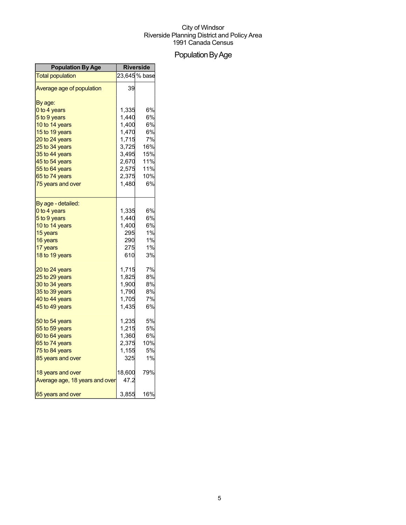## Population By Age

| <b>Population By Age</b>       | <b>Riverside</b> |              |
|--------------------------------|------------------|--------------|
| <b>Total population</b>        |                  | 23,645% base |
| Average age of population      | 39               |              |
| By age:                        |                  |              |
| 0 to 4 years                   | 1,335            | 6%           |
| 5 to 9 years                   | 1,440            | 6%           |
| 10 to 14 years                 | 1,400            | 6%           |
| 15 to 19 years                 | 1,470            | 6%           |
| 20 to 24 years                 | 1,715            | 7%           |
| 25 to 34 years                 | 3,725            | 16%          |
| 35 to 44 years                 | 3,495            | 15%          |
| 45 to 54 years                 | 2,670            | 11%          |
| 55 to 64 years                 | 2,575            | 11%          |
| 65 to 74 years                 | 2,375            | 10%          |
| 75 years and over              | 1,480            | 6%           |
| By age - detailed:             |                  |              |
| 0 to 4 years                   | 1,335            | 6%           |
| 5 to 9 years                   | 1,440            | 6%           |
| 10 to 14 years                 | 1,400            | 6%           |
| 15 years                       | 295              | 1%           |
| 16 years                       | 290              | 1%           |
| 17 years                       | 275              | 1%           |
| 18 to 19 years                 | 610              | 3%           |
| 20 to 24 years                 | 1,715            | 7%           |
| 25 to 29 years                 | 1,825            | 8%           |
| 30 to 34 years                 | 1,900            | 8%           |
| 35 to 39 years                 | 1,790            | 8%           |
| 40 to 44 years                 | 1,705            | 7%           |
| 45 to 49 years                 | 1,435            | 6%           |
| 50 to 54 years                 | 1,235            | 5%           |
| 55 to 59 years                 | 1,215            | 5%           |
| 60 to 64 years                 | 1,360            | 6%           |
| 65 to 74 years                 | 2,375            | 10%          |
| 75 to 84 years                 | 1,155            | <b>5%</b>    |
| 85 years and over              | 325              | 1%           |
| 18 years and over              | 18,600           | 79%          |
| Average age, 18 years and over | 47.2             |              |
| 65 years and over              | 3,855            | 16%          |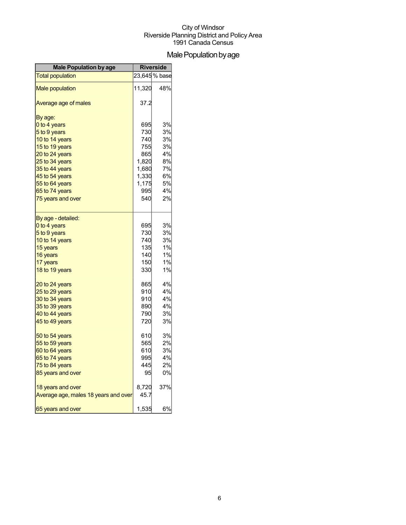## Male Population by age

| <b>Male Population by age</b>        | <b>Riverside</b> |               |
|--------------------------------------|------------------|---------------|
| <b>Total population</b>              |                  | 23,645 % base |
| <b>Male population</b>               | 11,320           | 48%           |
| Average age of males                 | 37.2             |               |
| By age:                              |                  |               |
| 0 to 4 years                         | 695              | 3%            |
| 5 to 9 years                         | 730              | 3%            |
| 10 to 14 years                       | 740              | 3%            |
| 15 to 19 years                       | 755              | 3%            |
| 20 to 24 years                       | 865              | 4%            |
| 25 to 34 years                       | 1,820            | 8%            |
| 35 to 44 years                       | 1,680            | 7%            |
| 45 to 54 years                       | 1,330            | 6%            |
| 55 to 64 years                       | 1,175            | <b>5%</b>     |
| 65 to 74 years                       | 995              | 4%            |
| 75 years and over                    | 540              | 2%            |
| By age - detailed:                   |                  |               |
| 0 to 4 years                         | 695              | 3%            |
| 5 to 9 years                         | 730              | 3%            |
| 10 to 14 years                       | 740              | 3%            |
| 15 years                             | 135              | 1%            |
| 16 years                             | 140              | 1%            |
| 17 years                             | 150              | $1\%$         |
| 18 to 19 years                       | 330              | 1%            |
| 20 to 24 years                       | 865              | 4%            |
| 25 to 29 years                       | 910              | 4%            |
| 30 to 34 years                       | 910              | 4%            |
| 35 to 39 years                       | 890              | 4%            |
| 40 to 44 years                       | 790              | 3%            |
| 45 to 49 years                       | 720              | 3%            |
| 50 to 54 years                       | 610              | 3%            |
| 55 to 59 years                       | 565              | 2%            |
| 60 to 64 years                       | 610              | 3%            |
| 65 to 74 years                       | 995              | 4%            |
| 75 to 84 years                       | 445              | 2%            |
| 85 years and over                    | 95               | 0%            |
| 18 years and over                    | 8,720            | 37%           |
| Average age, males 18 years and over | 45.7             |               |
| 65 years and over                    | 1,535            | 6%            |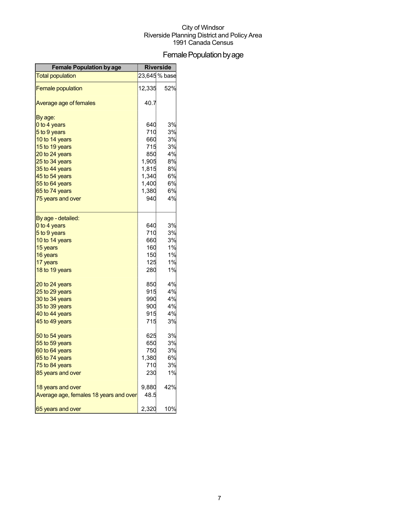## Female Population by age

| <b>Female Population by age</b>        | <b>Riverside</b> |               |
|----------------------------------------|------------------|---------------|
| <b>Total population</b>                |                  | 23,645 % base |
| <b>Female population</b>               | 12,335           | 52%           |
| Average age of females                 | 40.7             |               |
| By age:                                |                  |               |
| 0 to 4 years                           | 640              | 3%            |
| 5 to 9 years                           | 710              | 3%            |
| 10 to 14 years                         | 660              | 3%            |
| 15 to 19 years                         | 715              | 3%            |
| 20 to 24 years                         | 850              | 4%            |
| 25 to 34 years                         | 1,905            | 8%            |
| 35 to 44 years                         | 1,815            | 8%            |
| 45 to 54 years                         | 1,340            | 6%            |
| 55 to 64 years                         | 1,400            | 6%            |
| 65 to 74 years                         | 1,380            | 6%            |
| 75 years and over                      | 940              | 4%            |
| By age - detailed:                     |                  |               |
| 0 to 4 years                           | 640              | 3%            |
| 5 to 9 years                           | 710              | 3%            |
| 10 to 14 years                         | 660              | 3%            |
| 15 years                               | 160              | 1%            |
| 16 years                               | 150              | 1%            |
| 17 years                               | 125              | 1%            |
| 18 to 19 years                         | 280              | 1%            |
| 20 to 24 years                         | 850              | 4%            |
| 25 to 29 years                         | 915              | 4%            |
| 30 to 34 years                         | 990              | 4%            |
| 35 to 39 years                         | 900              | 4%            |
| 40 to 44 years                         | 915              | 4%            |
| 45 to 49 years                         | 715              | 3%            |
| 50 to 54 years                         | 625              | 3%            |
| 55 to 59 years                         | 650              | 3%            |
| 60 to 64 years                         | 750              | 3%            |
| 65 to 74 years                         | 1,380            | 6%            |
| 75 to 84 years                         | 710              | 3%            |
| 85 years and over                      | 230              | 1%            |
| 18 years and over                      | 9,880            | 42%           |
| Average age, females 18 years and over | 48.5             |               |
| 65 years and over                      | 2,320            | 10%           |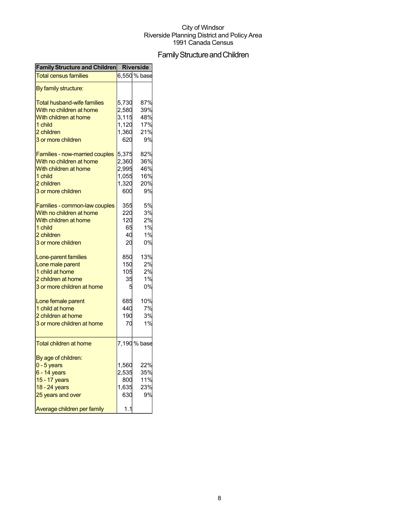## Family Structure and Children

| <b>Family Structure and Children</b> |       | <b>Riverside</b> |
|--------------------------------------|-------|------------------|
| <b>Total census families</b>         |       | 6,550 % base     |
| By family structure:                 |       |                  |
| <b>Total husband-wife families</b>   | 5,730 | 87%              |
| With no children at home             | 2,580 | 39%              |
| With children at home                | 3,115 | 48%              |
| 1 child                              | 1,120 | 17%              |
| 2 children                           | 1,360 | 21%              |
| 3 or more children                   | 620   | 9%               |
|                                      |       |                  |
| Families - now-married couples       | 5,375 | 82%              |
| With no children at home             | 2,360 | 36%              |
| With children at home                | 2,995 | 46%              |
| 1 child                              | 1,055 | 16%              |
| 2 children                           | 1,320 | 20%              |
| 3 or more children                   | 600   | 9%               |
|                                      |       |                  |
| Families - common-law couples        | 355   | 5%               |
| With no children at home             | 220   | 3%               |
| With children at home                | 120   | 2%               |
| 1 child                              | 65    | 1%               |
| 2 children                           | 40    | 1%               |
| 3 or more children                   | 20    | 0%               |
| Lone-parent families                 | 850   | 13%              |
| Lone male parent                     | 150   | 2%               |
| 1 child at home                      | 105   | 2%               |
| 2 children at home                   | 35    | 1%               |
|                                      |       |                  |
| 3 or more children at home           | 5     | 0%               |
| Lone female parent                   | 685   | 10%              |
| 1 child at home                      | 440   | 7%               |
| 2 children at home                   | 190   | 3%               |
| 3 or more children at home           | 70    | 1%               |
|                                      |       |                  |
| <b>Total children at home</b>        |       | 7,190 % base     |
| By age of children:                  |       |                  |
| $0 - 5$ years                        | 1,560 | 22%              |
| 6 - 14 years                         | 2,535 | 35%              |
| 15 - 17 years                        | 800   | 11%              |
| 18 - 24 years                        | 1,635 | 23%              |
| 25 years and over                    | 630   | 9%               |
|                                      |       |                  |
| Average children per family          | 1.1   |                  |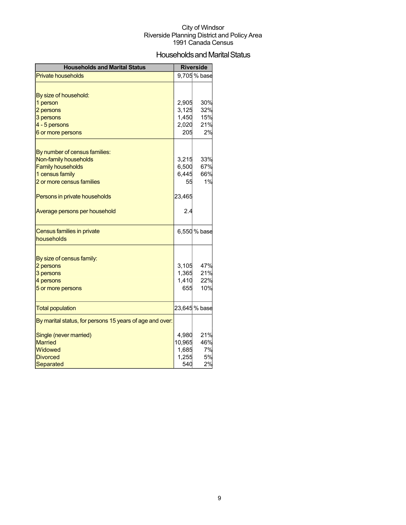## Households and Marital Status

| <b>Households and Marital Status</b>                     |        | <b>Riverside</b> |
|----------------------------------------------------------|--------|------------------|
| <b>Private households</b>                                |        | 9,705 % base     |
|                                                          |        |                  |
| By size of household:                                    |        |                  |
| 1 person                                                 | 2,905  | 30%              |
| 2 persons                                                | 3,125  | 32%              |
| 3 persons                                                | 1,450  | 15%              |
| 4 - 5 persons                                            | 2,020  | 21%              |
| 6 or more persons                                        | 205    | 2%               |
|                                                          |        |                  |
| By number of census families:                            |        |                  |
| Non-family households                                    | 3,215  | 33%              |
| <b>Family households</b>                                 | 6,500  | 67%              |
| 1 census family                                          | 6,445  | 66%              |
| 2 or more census families                                | 55     | 1%               |
| Persons in private households                            | 23,465 |                  |
| Average persons per household                            | 2.4    |                  |
| Census families in private                               |        | 6,550 % base     |
| households                                               |        |                  |
|                                                          |        |                  |
| By size of census family:                                |        |                  |
| 2 persons                                                | 3,105  | 47%              |
| 3 persons                                                | 1,365  | 21%              |
| 4 persons                                                | 1,410  | 22%              |
| 5 or more persons                                        | 655    | 10%              |
| <b>Total population</b>                                  |        | 23,645 % base    |
| By marital status, for persons 15 years of age and over: |        |                  |
| Single (never married)                                   | 4,980  | 21%              |
| <b>Married</b>                                           | 10,965 | 46%              |
| Widowed                                                  | 1,685  | 7%               |
| <b>Divorced</b>                                          | 1,255  | 5%               |
| <b>Separated</b>                                         | 540    | 2%               |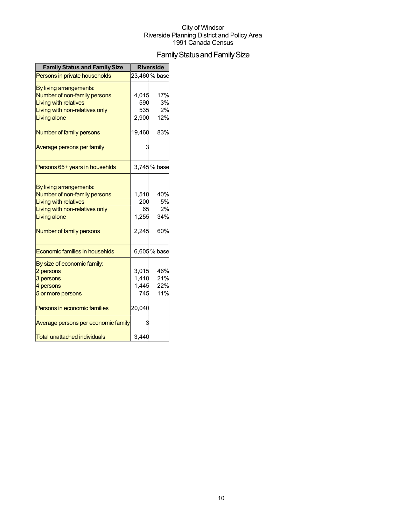## Family Status and Family Size

| <b>Family Status and Family Size</b>  |        | <b>Riverside</b> |
|---------------------------------------|--------|------------------|
| Persons in private households         |        | 23,460 % base    |
| By living arrangements:               |        |                  |
| Number of non-family persons          | 4,015  | 17%              |
| <b>Living with relatives</b>          | 590    | 3%               |
| Living with non-relatives only        | 535    | 2%               |
| <b>Living alone</b>                   | 2,900  | 12%              |
| Number of family persons              | 19,460 | 83%              |
| Average persons per family            |        |                  |
| Persons 65+ years in househlds        |        | 3,745% base      |
|                                       |        |                  |
| By living arrangements:               |        |                  |
| Number of non-family persons          | 1,510  | 40%              |
| <b>Living with relatives</b>          | 200    | 5%               |
| Living with non-relatives only        | 65     | 2%               |
| Living alone                          | 1,255  | 34%              |
| Number of family persons              | 2.245  | 60%              |
| <b>Economic families in househlds</b> |        | 6,605 % base     |
| By size of economic family:           |        |                  |
| 2 persons                             | 3,015  | 46%              |
| 3 persons                             | 1,410  | 21%              |
| 4 persons                             | 1,445  | 22%              |
| 5 or more persons                     | 745    | 11%              |
| Persons in economic families          | 20,040 |                  |
| Average persons per economic family   |        |                  |
| <b>Total unattached individuals</b>   | 3,440  |                  |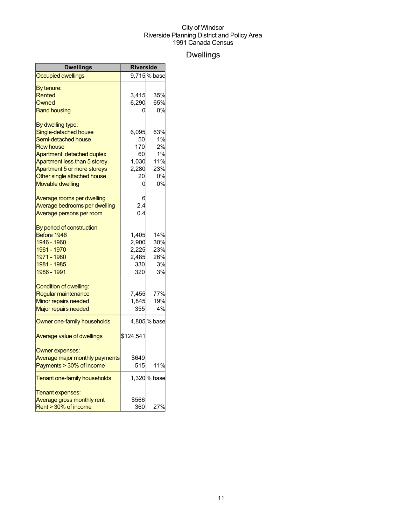## Dwellings

| <b>Dwellings</b>                      | <b>Riverside</b> |              |
|---------------------------------------|------------------|--------------|
| <b>Occupied dwellings</b>             |                  | 9,715% base  |
| By tenure:                            |                  |              |
| Rented                                | 3,415            | 35%          |
| Owned                                 | 6,290            | 65%          |
| <b>Band housing</b>                   |                  | 0%           |
| By dwelling type:                     |                  |              |
| Single-detached house                 | 6,095            | 63%          |
| Semi-detached house                   | 50               | 1%           |
| <b>Row house</b>                      | 170              | 2%           |
| Apartment, detached duplex            | 60               | 1%           |
| Apartment less than 5 storey          | 1,030            | 11%          |
| Apartment 5 or more storeys           | 2,280            | 23%          |
| Other single attached house           | 20               | 0%           |
| <b>Movable dwelling</b>               |                  | 0%           |
| Average rooms per dwelling            |                  |              |
| Average bedrooms per dwelling         | 2.4              |              |
| Average persons per room              | 0.4              |              |
| By period of construction             |                  |              |
| Before 1946                           | 1,405            | 14%          |
| 1946 - 1960                           | 2,900            | 30%          |
| 1961 - 1970                           | 2,225            | 23%          |
| 1971 - 1980                           | 2,485            | 26%          |
| 1981 - 1985                           | 330              | 3%           |
| 1986 - 1991                           | 320              | 3%           |
| Condition of dwelling:                |                  |              |
| Regular maintenance                   | 7,455            | 77%          |
| Minor repairs needed                  | 1,845            | 19%          |
| Major repairs needed                  | 355              | 4%           |
| Owner one-family households           |                  | 4,805% base  |
| Average value of dwellings            | \$124,541        |              |
| Owner expenses:                       |                  |              |
| <b>Average major monthly payments</b> | \$649            |              |
| Payments > 30% of income              | 515              | 11%          |
| Tenant one-family households          |                  | 1,320 % base |
| Tenant expenses:                      |                  |              |
| Average gross monthly rent            | \$566            |              |
| Rent > 30% of income                  | 360l             | 27%          |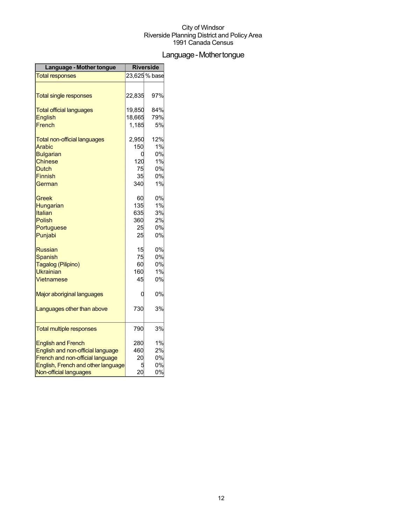## Language - Mother tongue

| Language - Mother tongue            | <b>Riverside</b> |               |
|-------------------------------------|------------------|---------------|
| <b>Total responses</b>              |                  | 23,625 % base |
|                                     |                  |               |
| <b>Total single responses</b>       | 22,835           | 97%           |
| <b>Total official languages</b>     | 19,850           | 84%           |
| <b>English</b>                      | 18,665           | 79%           |
| French                              | 1,185            | 5%            |
| <b>Total non-official languages</b> | 2,950            | 12%           |
| Arabic                              | 150              | 1%            |
| <b>Bulgarian</b>                    | 0                | 0%            |
| <b>Chinese</b>                      | 120              | 1%            |
| Dutch                               | 75               | 0%            |
| Finnish                             | 35               | 0%            |
| German                              | 340              | 1%            |
| Greek                               | 60               | 0%            |
| Hungarian                           | 135              | 1%            |
| Italian                             | 635              | 3%            |
| Polish                              | 360              | 2%            |
| Portuguese                          | 25               | 0%            |
| Punjabi                             | 25               | 0%            |
| <b>Russian</b>                      | 15               | 0%            |
| <b>Spanish</b>                      | 75               | 0%            |
| Tagalog (Pilipino)                  | 60               | 0%            |
| <b>Ukrainian</b>                    | 160              | 1%            |
| Vietnamese                          | 45               | 0%            |
| Major aboriginal languages          | 0                | 0%            |
| Languages other than above          | 730              | 3%            |
| <b>Total multiple responses</b>     | 790              | 3%            |
|                                     |                  |               |
| <b>English and French</b>           | 280              | 1%            |
| English and non-official language   | 460              | 2%            |
| French and non-official language    | 20               | 0%            |
| English, French and other language  | 5                | 0%            |
| Non-official languages              | 20               | 0%            |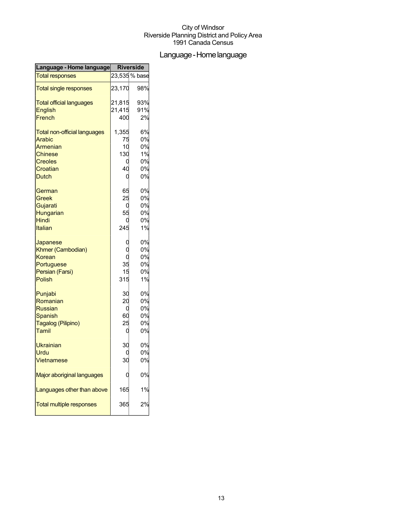## Language-Homelanguage

| Language - Home language            | <b>Riverside</b> |               |
|-------------------------------------|------------------|---------------|
| <b>Total responses</b>              |                  | 23,535 % base |
| <b>Total single responses</b>       | 23,170           | 98%           |
| <b>Total official languages</b>     | 21,815           | 93%           |
| <b>English</b>                      | 21,415           | 91%           |
| French                              | 400              | 2%            |
| <b>Total non-official languages</b> | 1,355            | 6%            |
| <b>Arabic</b>                       | 75               | 0%            |
| Armenian                            | 10               | 0%            |
| Chinese                             | 130              | 1%            |
| <b>Creoles</b>                      |                  | 0%            |
| Croatian                            | 40               | 0%            |
| <b>Dutch</b>                        | C                | 0%            |
| German                              | 65               | 0%            |
| Greek                               | 25               | 0%            |
| Gujarati                            | C                | 0%            |
| Hungarian                           | 55               | 0%            |
| <b>Hindi</b>                        |                  | 0%            |
| Italian                             | 245              | 1%            |
| Japanese                            |                  | 0%            |
| Khmer (Cambodian)                   |                  | 0%            |
| Korean                              | C                | 0%            |
| Portuguese                          | 35               | 0%            |
| Persian (Farsi)                     | 15               | 0%            |
| <b>Polish</b>                       | 315              | 1%            |
| Punjabi                             | 30               | 0%            |
| Romanian                            | 20               | 0%            |
| <b>Russian</b>                      | C                | 0%            |
| Spanish                             | 60               | 0%            |
| Tagalog (Pilipino)                  | 25               | 0%            |
| Tamil                               | C                | 0%            |
| Ukrainian                           | 30               | 0%            |
| Urdu                                |                  | 0%            |
| <b>Vietnamese</b>                   | 30               | 0%            |
| Major aboriginal languages          |                  | 0%            |
| Languages other than above          | 165              | 1%            |
| <b>Total multiple responses</b>     | 365              | 2%            |
|                                     |                  |               |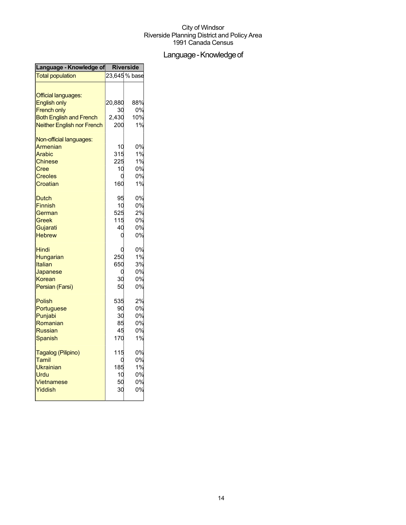## Language - Knowledge of

| Language - Knowledge of           | <b>Riverside</b> |               |
|-----------------------------------|------------------|---------------|
| <b>Total population</b>           |                  | 23,645 % base |
|                                   |                  |               |
| <b>Official languages:</b>        |                  |               |
| <b>English only</b>               | 20,880           | 88%           |
| <b>French only</b>                | 30               | 0%            |
| <b>Both English and French</b>    | 2,430            | 10%           |
| <b>Neither English nor French</b> | 200              | 1%            |
| Non-official languages:           |                  |               |
| Armenian                          | 10               | 0%            |
| Arabic                            | 315              | 1%            |
| <b>Chinese</b>                    | 225              | 1%            |
| Cree                              | 10               | 0%            |
| <b>Creoles</b>                    | C                | 0%            |
| Croatian                          | 160              | 1%            |
| <b>Dutch</b>                      | 95               | 0%            |
| <b>Finnish</b>                    | 10               | 0%            |
| German                            | 525              | 2%            |
| Greek                             | 115              | 0%            |
| Gujarati                          | 40               | 0%            |
| <b>Hebrew</b>                     | C                | 0%            |
| Hindi                             |                  | 0%            |
| Hungarian                         | 250              | 1%            |
| <b>Italian</b>                    | 650              | 3%            |
| Japanese                          | C                | 0%            |
| Korean                            | 30               | 0%            |
| Persian (Farsi)                   | 50               | 0%            |
| <b>Polish</b>                     | 535              | 2%            |
| Portuguese                        | 90               | 0%            |
| Punjabi                           | 30               | 0%            |
| Romanian                          | 85               | 0%            |
| <b>Russian</b>                    | 45               | 0%            |
| Spanish                           | 170              | 1%            |
| Tagalog (Pilipino)                | 115              | 0%            |
| Tamil                             | C                | 0%            |
| Ukrainian                         | 185              | 1%            |
| Urdu                              | 10               | 0%            |
| Vietnamese                        | 50               | 0%            |
| Yiddish                           | 30               | 0%            |
|                                   |                  |               |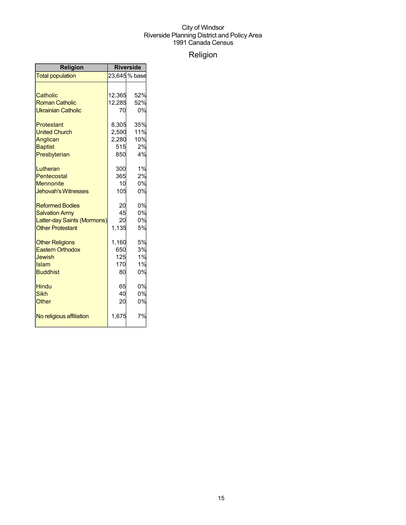## Religion

| <b>Religion</b>             | <b>Riverside</b> |               |
|-----------------------------|------------------|---------------|
| <b>Total population</b>     |                  | 23,645 % base |
|                             |                  |               |
| Catholic                    | 12,365           | 52%           |
| <b>Roman Catholic</b>       | 12,285           | 52%           |
| <b>Ukrainian Catholic</b>   | 70               | 0%            |
| Protestant                  | 8,305            | 35%           |
| <b>United Church</b>        | 2,590            | 11%           |
| Anglican                    | 2,280            | 10%           |
| <b>Baptist</b>              | 515              | 2%            |
| Presbyterian                | 850              | 4%            |
| Lutheran                    | 300              | 1%            |
| Pentecostal                 | 365              | 2%            |
| <b>Mennonite</b>            | 10               | 0%            |
| <b>Jehovah's Witnesses</b>  | 105              | 0%            |
| <b>Reformed Bodies</b>      | 20               | 0%            |
| <b>Salvation Army</b>       | 45               | 0%            |
| Latter-day Saints (Mormons) | 20               | 0%            |
| <b>Other Protestant</b>     | 1,135            | 5%            |
| <b>Other Religions</b>      | 1,160            | 5%            |
| <b>Eastern Orthodox</b>     | 650              | 3%            |
| Jewish                      | 125              | 1%            |
| Islam                       | 170              | 1%            |
| <b>Buddhist</b>             | 80               | 0%            |
| <b>Hindu</b>                | 65               | 0%            |
| <b>Sikh</b>                 | 40               | 0%            |
| Other                       | 20               | 0%            |
| No religious affiliation    | 1,675            | 7%            |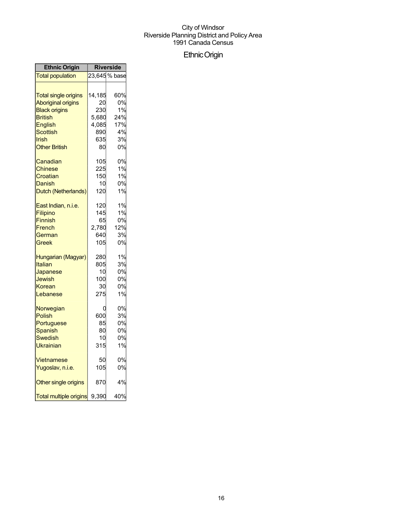## EthnicOrigin

| <b>Ethnic Origin</b>          | <b>Riverside</b> |               |
|-------------------------------|------------------|---------------|
| <b>Total population</b>       |                  | 23,645 % base |
|                               |                  |               |
| <b>Total single origins</b>   | 14,185           | 60%           |
| <b>Aboriginal origins</b>     | 20               | 0%            |
| <b>Black origins</b>          | 230              | 1%            |
| <b>British</b>                | 5,680            | 24%           |
| English                       | 4,085            | 17%           |
| Scottish                      | 890              | 4%            |
| Irish                         | 635              | 3%            |
| <b>Other British</b>          | 80               | 0%            |
| Canadian                      | 105              | 0%            |
| Chinese                       | 225              | 1%            |
| Croatian                      | 150              | 1%            |
| Danish                        | 10               | 0%            |
| Dutch (Netherlands)           | 120              | 1%            |
| East Indian, n.i.e.           | 120              | 1%            |
| <b>Filipino</b>               | 145              | 1%            |
| Finnish                       | 65               | 0%            |
| French                        | 2,780            | 12%           |
| German                        | 640              | 3%            |
| Greek                         | 105              | 0%            |
| Hungarian (Magyar)            | 280              | 1%            |
| Italian                       | 805              | 3%            |
| Japanese                      | 10               | 0%            |
| Jewish                        | 100              | 0%            |
| Korean                        | 30               | 0%            |
| Lebanese                      | 275              | 1%            |
| Norwegian                     | C                | 0%            |
| Polish                        | 600              | 3%            |
| Portuguese                    | 85               | 0%            |
| Spanish                       | 80               | 0%            |
| Swedish                       | 10               | 0%            |
| Ukrainian                     | 315              | 1%            |
| Vietnamese                    | 50               | 0%            |
| Yugoslav, n.i.e.              | 105              | 0%            |
| Other single origins          | 870              | 4%            |
| <b>Total multiple origins</b> | 9,390            | 40%           |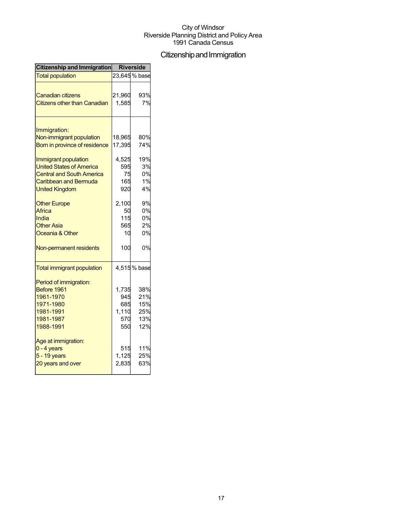## Citizenship and Immigration

| Citizenship and Immigration         | <b>Riverside</b> |               |
|-------------------------------------|------------------|---------------|
| <b>Total population</b>             |                  | 23,645 % base |
|                                     |                  |               |
| <b>Canadian citizens</b>            | 21,960           | 93%           |
| <b>Citizens other than Canadian</b> | 1,585            | 7%            |
|                                     |                  |               |
| Immigration:                        |                  |               |
| Non-immigrant population            | 18,965           | 80%           |
| Born in province of residence       | 17,395           | 74%           |
| Immigrant population                | 4,525            | 19%           |
| <b>United States of America</b>     | 595              | 3%            |
| <b>Central and South America</b>    | 75               | 0%            |
| Caribbean and Bermuda               | 165              | 1%            |
| <b>United Kingdom</b>               | 920              | 4%            |
| <b>Other Europe</b>                 | 2,100            | 9%            |
| Africa                              | 50               | 0%            |
| India                               | 115              | 0%            |
| <b>Other Asia</b>                   | 565              | 2%            |
| Oceania & Other                     | 10               | 0%            |
| Non-permanent residents             | 100              | 0%            |
| <b>Total immigrant population</b>   |                  | 4,515% base   |
| Period of immigration:              |                  |               |
| Before 1961                         | 1,735            | 38%           |
| 1961-1970                           | 945              | 21%           |
| 1971-1980                           | 685              | 15%           |
| 1981-1991                           | 1,110            | 25%           |
| 1981-1987                           | 570              | 13%           |
| 1988-1991                           | 550              | 12%           |
| Age at immigration:                 |                  |               |
| $0 - 4$ years                       | 515              | 11%           |
| $5 - 19$ years                      | 1,125            | 25%           |
| 20 years and over                   | 2,835            | 63%           |
|                                     |                  |               |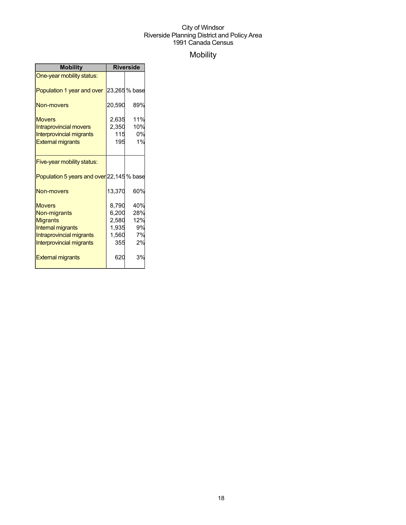## Mobility

| <b>Mobility</b>                                                                                                               | <b>Riverside</b>                                 |                                     |
|-------------------------------------------------------------------------------------------------------------------------------|--------------------------------------------------|-------------------------------------|
| One-year mobility status:                                                                                                     |                                                  |                                     |
| Population 1 year and over                                                                                                    |                                                  | 23,265% base                        |
| Non-movers                                                                                                                    | 20,590                                           | 89%                                 |
| <b>Movers</b><br><b>Intraprovincial movers</b><br><b>Interprovincial migrants</b><br><b>External migrants</b>                 | 2,635<br>2,350<br>115<br>195                     | 11%<br>10%<br>0%<br>1%              |
| Five-year mobility status:                                                                                                    |                                                  |                                     |
| Population 5 years and over 22,145 % base                                                                                     |                                                  |                                     |
| Non-movers                                                                                                                    | 13,370                                           | 60%                                 |
| <b>Movers</b><br>Non-migrants<br><b>Migrants</b><br>Internal migrants<br>Intraprovincial migrants<br>Interprovincial migrants | 8,790<br>6,200<br>2,580<br>1,935<br>1,560<br>355 | 40%<br>28%<br>12%<br>9%<br>7%<br>2% |
| <b>External migrants</b>                                                                                                      | 620                                              | 3%                                  |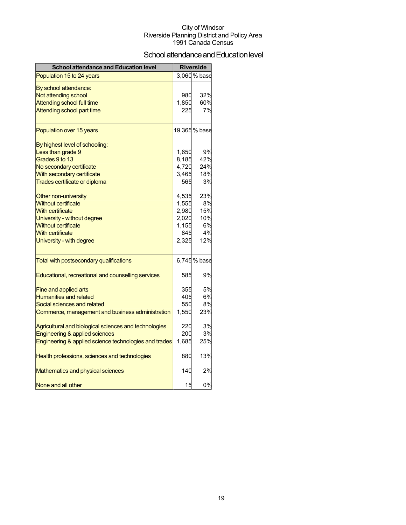## School attendance and Education level

| <b>School attendance and Education level</b>          |       | <b>Riverside</b> |
|-------------------------------------------------------|-------|------------------|
| Population 15 to 24 years                             |       | 3,060 % base     |
| By school attendance:                                 |       |                  |
| Not attending school                                  | 980   | 32%              |
| <b>Attending school full time</b>                     | 1,850 | 60%              |
| Attending school part time                            | 225   | 7%               |
| Population over 15 years                              |       | 19,365 % base    |
| By highest level of schooling:                        |       |                  |
| Less than grade 9                                     | 1,650 | 9%               |
| Grades 9 to 13                                        | 8,185 | 42%              |
| No secondary certificate                              | 4,720 | 24%              |
| With secondary certificate                            | 3,465 | 18%              |
| Trades certificate or diploma                         | 565   | 3%               |
| Other non-university                                  | 4,535 | 23%              |
| <b>Without certificate</b>                            | 1,555 | 8%               |
| <b>With certificate</b>                               | 2,980 | 15%              |
| University - without degree                           | 2,020 | 10%              |
| <b>Without certificate</b>                            | 1,155 | 6%               |
| <b>With certificate</b>                               | 845   | 4%               |
| University - with degree                              | 2,325 | 12%              |
| Total with postsecondary qualifications               |       | 6,745 % base     |
| Educational, recreational and counselling services    | 585   | 9%               |
| <b>Fine and applied arts</b>                          | 355   | 5%               |
| <b>Humanities and related</b>                         | 405   | 6%               |
| Social sciences and related                           | 550   | 8%               |
| Commerce, management and business administration      | 1,550 | 23%              |
| Agricultural and biological sciences and technologies | 220   | 3%               |
| <b>Engineering &amp; applied sciences</b>             | 200   | 3%               |
| Engineering & applied science technologies and trades | 1,685 | 25%              |
| Health professions, sciences and technologies         | 880   | 13%              |
| Mathematics and physical sciences                     | 140   | 2%               |
| None and all other                                    | 15    | 0%               |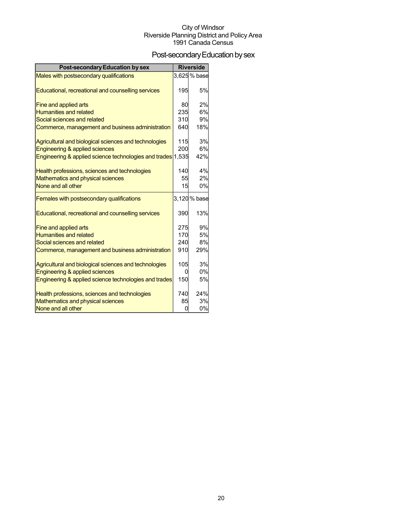## Post-secondary Education by sex

| <b>Post-secondary Education by sex</b>                      |     | <b>Riverside</b> |
|-------------------------------------------------------------|-----|------------------|
| Males with postsecondary qualifications                     |     | 3,625% base      |
|                                                             |     |                  |
| Educational, recreational and counselling services          | 195 | 5%               |
| Fine and applied arts                                       | 80  | 2%               |
| <b>Humanities and related</b>                               | 235 | 6%               |
| Social sciences and related                                 | 310 | 9%               |
| Commerce, management and business administration            | 640 | 18%              |
|                                                             |     |                  |
| Agricultural and biological sciences and technologies       | 115 | 3%               |
| Engineering & applied sciences                              | 200 | 6%               |
| Engineering & applied science technologies and trades 1,535 |     | 42%              |
| Health professions, sciences and technologies               | 140 | 4%               |
| <b>Mathematics and physical sciences</b>                    | 55  | 2%               |
| None and all other                                          | 15  | 0%               |
| Females with postsecondary qualifications                   |     | 3,120 % base     |
| Educational, recreational and counselling services          | 390 | 13%              |
| <b>Fine and applied arts</b>                                | 275 | 9%               |
| <b>Humanities and related</b>                               | 170 | 5%               |
| Social sciences and related                                 | 240 | 8%               |
| Commerce, management and business administration            | 910 | 29%              |
| Agricultural and biological sciences and technologies       | 105 | 3%               |
| Engineering & applied sciences                              | 0   | 0%               |
| Engineering & applied science technologies and trades       | 150 | 5%               |
|                                                             |     |                  |
| Health professions, sciences and technologies               | 740 | 24%              |
| Mathematics and physical sciences                           | 85  | 3%               |
| None and all other                                          | 0   | 0%               |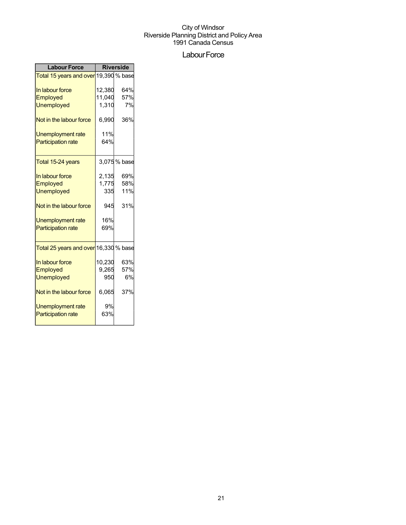## Labour Force

| <b>Labour Force</b>                                | <b>Riverside</b> |             |
|----------------------------------------------------|------------------|-------------|
| Total 15 years and over 19,390 % base              |                  |             |
| In labour force                                    | 12,380           | 64%         |
| Employed                                           | 11,040           | 57%         |
| <b>Unemployed</b>                                  | 1,310            | 7%          |
| Not in the labour force                            | 6,990            | 36%         |
| <b>Unemployment rate</b>                           | 11%              |             |
| <b>Participation rate</b>                          | 64%              |             |
| Total 15-24 years                                  |                  | 3,075% base |
| In labour force                                    | 2,135            | 69%         |
| Employed                                           | 1,775            | 58%         |
| <b>Unemployed</b>                                  | 335              | 11%         |
| Not in the labour force                            | 945              | 31%         |
| <b>Unemployment rate</b>                           | 16%              |             |
| <b>Participation rate</b>                          | 69%              |             |
| <mark>Total 25 years and over</mark> 16,330 % base |                  |             |
| In labour force                                    | 10,230           | 63%         |
| Employed                                           | 9,265            | 57%         |
| <b>Unemployed</b>                                  | 950              | 6%          |
| Not in the labour force                            | 6,065            | 37%         |
| Unemployment rate                                  | 9%               |             |
| <b>Participation rate</b>                          | 63%              |             |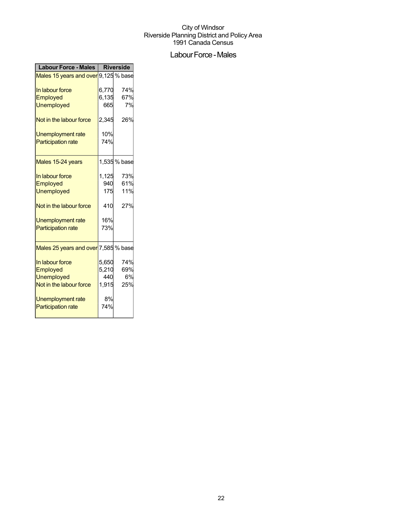## Labour Force - Males

| <b>Labour Force - Males</b>          | <b>Riverside</b> |              |
|--------------------------------------|------------------|--------------|
| Males 15 years and over 9,125 % base |                  |              |
| In labour force                      | 6,770            | 74%          |
| Employed                             | 6,135            | 67%          |
| <b>Unemployed</b>                    | 665              | 7%           |
| Not in the labour force              | 2,345            | 26%          |
| Unemployment rate                    | 10%              |              |
| <b>Participation rate</b>            | 74%              |              |
| Males 15-24 years                    |                  | 1,535 % base |
| In labour force                      | 1,125            | 73%          |
| Employed                             | 940              | 61%          |
| <b>Unemployed</b>                    | 175              | 11%          |
| Not in the labour force              | 410              | 27%          |
| Unemployment rate                    | 16%              |              |
| <b>Participation rate</b>            | 73%              |              |
| Males 25 years and over 7,585 % base |                  |              |
| In labour force                      | 5,650            | 74%          |
| Employed                             | 5,210            | 69%          |
| <b>Unemployed</b>                    | 440              | 6%           |
| Not in the labour force              | 1,915            | 25%          |
| <b>Unemployment rate</b>             | 8%               |              |
| <b>Participation rate</b>            | 74%              |              |
|                                      |                  |              |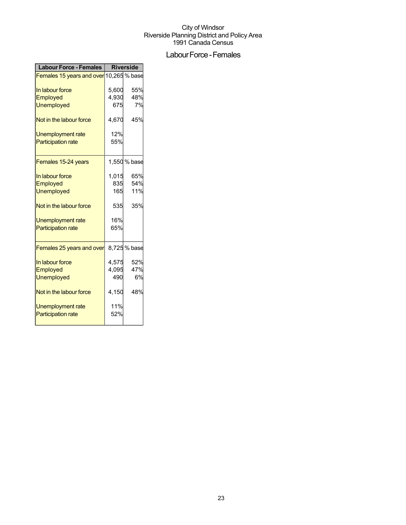## Labour Force - Females

| <b>Labour Force - Females</b>           | <b>Riverside</b> |              |
|-----------------------------------------|------------------|--------------|
| Females 15 years and over 10,265 % base |                  |              |
| In labour force                         | 5,600            | 55%          |
| <b>Employed</b>                         | 4,930            | 48%          |
| <b>Unemployed</b>                       | 675              | 7%           |
| Not in the labour force                 | 4,670            | 45%          |
| Unemployment rate                       | 12%              |              |
| <b>Participation rate</b>               | 55%              |              |
| Females 15-24 years                     |                  | 1,550 % base |
| In labour force                         | 1,015            | 65%          |
| Employed                                | 835              | 54%          |
| <b>Unemployed</b>                       | 165              | 11%          |
| Not in the labour force                 | 535              | 35%          |
| Unemployment rate                       | 16%              |              |
| <b>Participation rate</b>               | 65%              |              |
| Females 25 years and over               |                  | 8,725% base  |
| In labour force                         | 4,575            | 52%          |
| Employed                                | 4,095            | 47%          |
| <b>Unemployed</b>                       | 490              | 6%           |
| Not in the labour force                 | 4,150            | 48%          |
| Unemployment rate                       | 11%              |              |
| <b>Participation rate</b>               | 52%              |              |
|                                         |                  |              |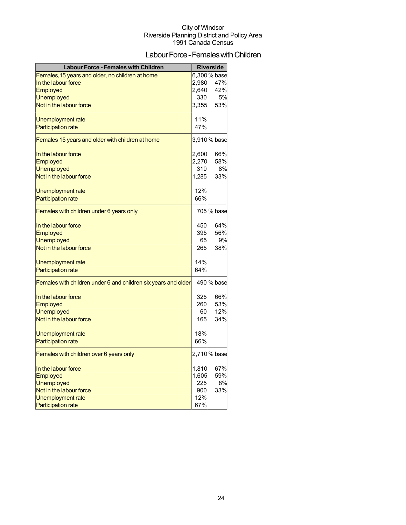## Labour Force - Females with Children

| <b>Labour Force - Females with Children</b>                    |       | <b>Riverside</b> |
|----------------------------------------------------------------|-------|------------------|
| Females, 15 years and older, no children at home               |       | 6,300 % base     |
| In the labour force                                            | 2,980 | 47%              |
| <b>Employed</b>                                                | 2,640 | 42%              |
| <b>Unemployed</b>                                              | 330   | 5%               |
| Not in the labour force                                        | 3.355 | 53%              |
| Unemployment rate                                              | 11%   |                  |
| <b>Participation rate</b>                                      | 47%   |                  |
| Females 15 years and older with children at home               |       | 3,910% base      |
| In the labour force                                            | 2,600 | 66%              |
| Employed                                                       | 2,270 | 58%              |
| <b>Unemployed</b>                                              | 310   | 8%               |
| Not in the labour force                                        | 1,285 | 33%              |
| Unemployment rate                                              | 12%   |                  |
| <b>Participation rate</b>                                      | 66%   |                  |
| Females with children under 6 years only                       |       | 705 % base       |
| In the labour force                                            | 450   | 64%              |
| Employed                                                       | 395   | 56%              |
| <b>Unemployed</b>                                              | 65    | 9%               |
| Not in the labour force                                        | 265   | 38%              |
| Unemployment rate                                              | 14%   |                  |
| <b>Participation rate</b>                                      | 64%   |                  |
| Females with children under 6 and children six years and older |       | 490 % base       |
| In the labour force                                            | 325   | 66%              |
| Employed                                                       | 260   | 53%              |
| <b>Unemployed</b>                                              | 60    | 12%              |
| Not in the labour force                                        | 165   | 34%              |
| Unemployment rate                                              | 18%   |                  |
| <b>Participation rate</b>                                      | 66%   |                  |
| Females with children over 6 years only                        |       | 2,710 % base     |
| In the labour force                                            | 1,810 | 67%              |
| Employed                                                       | 1,605 | 59%              |
| <b>Unemployed</b>                                              | 225   | 8%               |
| Not in the labour force                                        | 900   | 33%              |
| Unemployment rate                                              | 12%   |                  |
| <b>Participation rate</b>                                      | 67%   |                  |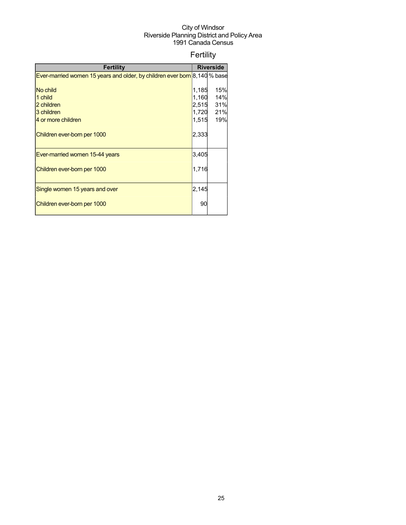## Fertility

| <b>Fertility</b>                                                          |       | <b>Riverside</b> |
|---------------------------------------------------------------------------|-------|------------------|
| Ever-married women 15 years and older, by children ever born 8,140 % base |       |                  |
|                                                                           |       |                  |
| No child                                                                  | 1,185 | 15%              |
| 1 child                                                                   | 1,160 | 14%              |
| 2 children                                                                | 2,515 | 31%              |
| 3 children                                                                | 1,720 | 21%              |
| 4 or more children                                                        | 1,515 | 19%              |
| Children ever-born per 1000                                               | 2,333 |                  |
| Ever-married women 15-44 years                                            | 3,405 |                  |
| Children ever-born per 1000                                               | 1,716 |                  |
| Single women 15 years and over                                            | 2.145 |                  |
| Children ever-born per 1000                                               | 90    |                  |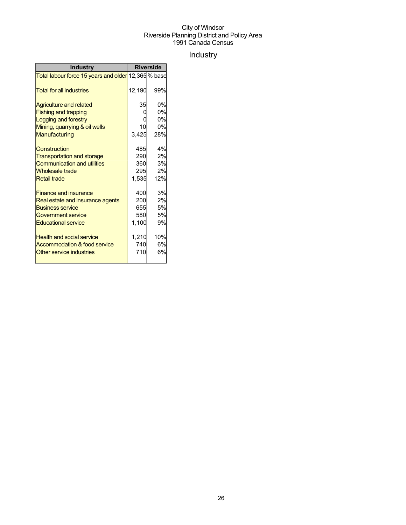## Industry

| <b>Industry</b>                                     | <b>Riverside</b> |           |
|-----------------------------------------------------|------------------|-----------|
| Total labour force 15 years and older 12,365 % base |                  |           |
| <b>Total for all industries</b>                     | 12,190           | 99%       |
| <b>Agriculture and related</b>                      | 35               | 0%        |
| <b>Fishing and trapping</b>                         |                  | 0%        |
| Logging and forestry                                |                  | 0%        |
| Mining, quarrying & oil wells                       | 10               | 0%        |
| Manufacturing                                       | 3,425            | 28%       |
| Construction                                        | 485              | 4%        |
| <b>Transportation and storage</b>                   | 290              | 2%        |
| <b>Communication and utilities</b>                  | 360              | <b>3%</b> |
| Wholesale trade                                     | 295              | 2%        |
| <b>Retail trade</b>                                 | 1,535            | 12%       |
| <b>Finance and insurance</b>                        | 400              | 3%        |
| Real estate and insurance agents                    | 200              | 2%        |
| <b>Business service</b>                             | 655              | 5%        |
| Government service                                  | 580              | 5%        |
| <b>Educational service</b>                          | 1,100            | 9%        |
| <b>Health and social service</b>                    | 1,210            | 10%       |
| Accommodation & food service                        | 740              | 6%        |
| Other service industries                            | 710              | 6%        |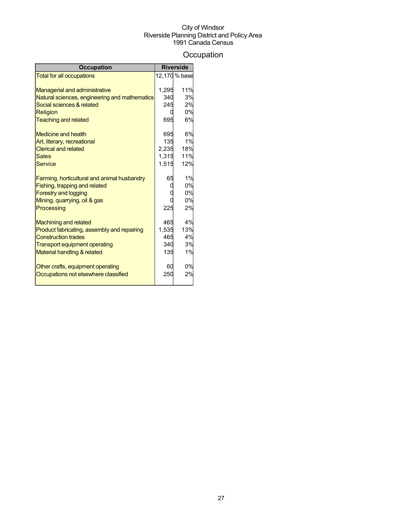## **Occupation**

| <b>Occupation</b>                             |       | <b>Riverside</b> |
|-----------------------------------------------|-------|------------------|
| <b>Total for all occupations</b>              |       | 12,170 % base    |
|                                               |       |                  |
| <b>Managerial and administrative</b>          | 1,295 | 11%              |
| Natural sciences, engineering and mathematics | 340   | 3%               |
| Social sciences & related                     | 245   | 2%               |
| <b>Religion</b>                               |       | 0%               |
| <b>Teaching and related</b>                   | 695   | 6%               |
| Medicine and health                           | 695   | 6%               |
| Art, literary, recreational                   | 135   | 1%               |
| <b>Clerical and related</b>                   | 2,235 | 18%              |
| Sales                                         | 1,315 | 11%              |
| Service                                       | 1,515 | 12%              |
| Farming, horticultural and animal husbandry   | 65    | 1%               |
| Fishing, trapping and related                 |       | 0%               |
| <b>Forestry and logging</b>                   |       | 0%               |
| Mining, quarrying, oil & gas                  |       | 0%               |
| Processing                                    | 225   | 2%               |
| <b>Machining and related</b>                  | 465   | 4%               |
| Product fabricating, assembly and repairing   | 1,535 | 13%              |
| <b>Construction trades</b>                    | 465   | 4%               |
| <b>Transport equipment operating</b>          | 340   | 3%               |
| Material handling & related                   | 135   | 1%               |
| Other crafts, equipment operating             | 60    | 0%               |
| Occupations not elsewhere classified          | 250   | 2%               |
|                                               |       |                  |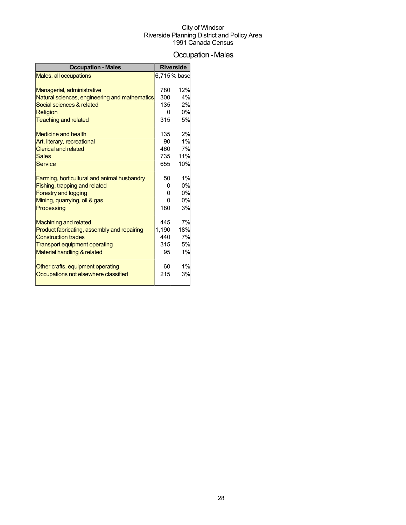## Occupation-Males

| <b>Occupation - Males</b>                     |       | <b>Riverside</b> |
|-----------------------------------------------|-------|------------------|
| Males, all occupations                        |       | 6,715 % base     |
|                                               |       |                  |
| Managerial, administrative                    | 780   | 12%              |
| Natural sciences, engineering and mathematics | 300   | 4%               |
| Social sciences & related                     | 135   | 2%               |
| Religion                                      |       | 0%               |
| <b>Teaching and related</b>                   | 315   | 5%               |
| <b>Medicine and health</b>                    | 135   | 2%               |
| Art, literary, recreational                   | 90    | 1%               |
| <b>Clerical and related</b>                   | 460   | 7%               |
| <b>Sales</b>                                  | 735   | <b>11%</b>       |
| <b>Service</b>                                | 655   | 10%              |
| Farming, horticultural and animal husbandry   | 50    | 1%               |
| Fishing, trapping and related                 |       | 0%               |
| <b>Forestry and logging</b>                   |       | 0%               |
| Mining, quarrying, oil & gas                  |       | 0%               |
| Processing                                    | 180   | 3%               |
| <b>Machining and related</b>                  | 445   | 7%               |
| Product fabricating, assembly and repairing   | 1.190 | 18%              |
| <b>Construction trades</b>                    | 440   | 7%               |
| <b>Transport equipment operating</b>          | 315   | 5%               |
| Material handling & related                   | 95    | 1%               |
| Other crafts, equipment operating             | 60    | 1%               |
| Occupations not elsewhere classified          | 215   | 3%               |
|                                               |       |                  |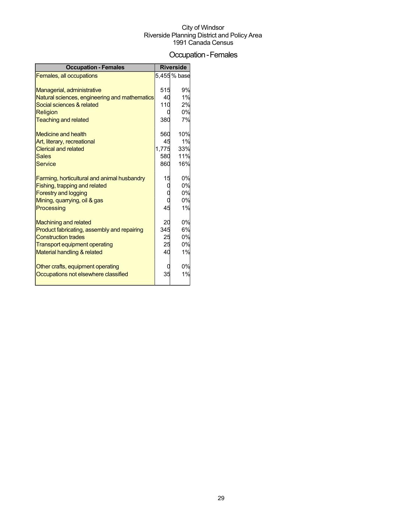## Occupation-Females

| <b>Occupation - Females</b>                   |       | <b>Riverside</b> |
|-----------------------------------------------|-------|------------------|
| Females, all occupations                      |       | 5,455 % base     |
|                                               |       |                  |
| Managerial, administrative                    | 515   | 9%               |
| Natural sciences, engineering and mathematics | 40    | 1%               |
| Social sciences & related                     | 110   | 2%               |
| <b>Religion</b>                               |       | 0%               |
| <b>Teaching and related</b>                   | 380   | 7%               |
| <b>Medicine and health</b>                    | 560   | 10%              |
| Art, literary, recreational                   | 45    | 1%               |
| <b>Clerical and related</b>                   | 1,775 | 33%              |
| <b>Sales</b>                                  | 580   | 11%              |
| <b>Service</b>                                | 860   | 16%              |
| Farming, horticultural and animal husbandry   | 15    | 0%               |
| Fishing, trapping and related                 |       | 0%               |
| <b>Forestry and logging</b>                   |       | 0%               |
| Mining, quarrying, oil & gas                  |       | 0%               |
| Processing                                    | 45    | 1%               |
|                                               |       |                  |
| <b>Machining and related</b>                  | 20    | 0%               |
| Product fabricating, assembly and repairing   | 345   | 6%               |
| <b>Construction trades</b>                    | 25    | 0%               |
| <b>Transport equipment operating</b>          | 25    | 0%               |
| Material handling & related                   | 40    | 1%               |
| Other crafts, equipment operating             |       | 0%               |
| Occupations not elsewhere classified          | 35    | 1%               |
|                                               |       |                  |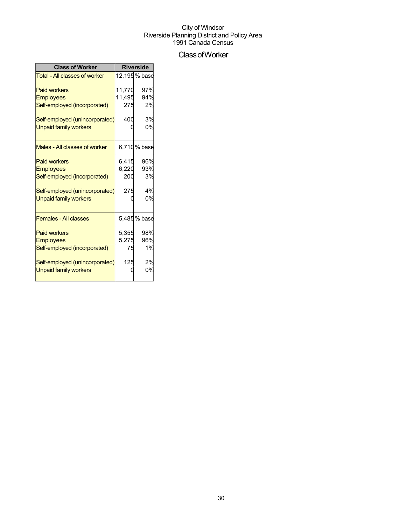## ClassofWorker

| <b>Class of Worker</b>         | <b>Riverside</b> |               |  |
|--------------------------------|------------------|---------------|--|
| Total - All classes of worker  |                  | 12,195 % base |  |
| <b>Paid workers</b>            | 11,770           | 97%           |  |
| <b>Employees</b>               | 11,495           | 94%           |  |
| Self-employed (incorporated)   | 275              | 2%            |  |
| Self-employed (unincorporated) | 400              | 3%            |  |
| <b>Unpaid family workers</b>   |                  | 0%            |  |
| Males - All classes of worker  |                  | 6,710% base   |  |
| <b>Paid workers</b>            | 6,415            | 96%           |  |
| <b>Employees</b>               | 6,220            | 93%           |  |
| Self-employed (incorporated)   | 200              | 3%            |  |
| Self-employed (unincorporated) | 275              | 4%            |  |
| <b>Unpaid family workers</b>   |                  | 0%            |  |
| <b>Females - All classes</b>   |                  | 5,485 % base  |  |
| <b>Paid workers</b>            | 5,355            | 98%           |  |
| <b>Employees</b>               | 5,275            | 96%           |  |
| Self-employed (incorporated)   | 75               | 1%            |  |
| Self-employed (unincorporated) | 125              | 2%            |  |
| <b>Unpaid family workers</b>   |                  | 0%            |  |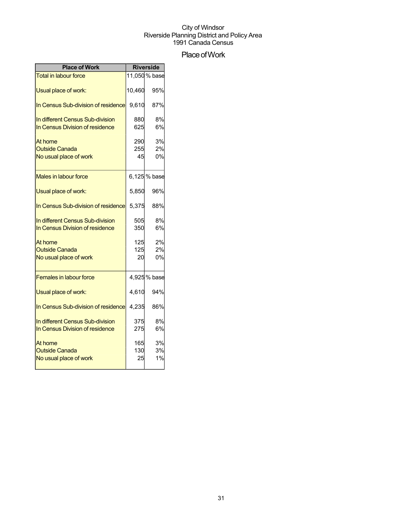## Place of Work

| <b>Place of Work</b>                                                | <b>Riverside</b> |                |
|---------------------------------------------------------------------|------------------|----------------|
| <b>Total in labour force</b>                                        |                  | 11,050 % base  |
| Usual place of work:                                                | 10,460           | 95%            |
| In Census Sub-division of residence                                 | 9,610            | 87%            |
| In different Census Sub-division<br>In Census Division of residence | 880<br>625       | 8%<br>6%       |
| At home<br><b>Outside Canada</b><br>No usual place of work          | 290<br>255<br>45 | 3%<br>2%<br>0% |
| Males in labour force                                               |                  | 6,125 % base   |
| Usual place of work:                                                | 5,850            | 96%            |
| In Census Sub-division of residence                                 | 5,375            | 88%            |
| In different Census Sub-division<br>In Census Division of residence | 505<br>350       | 8%<br>6%       |
| At home<br><b>Outside Canada</b><br>No usual place of work          | 125<br>125<br>20 | 2%<br>2%<br>0% |
| <b>Females in labour force</b>                                      |                  | 4,925% base    |
| Usual place of work:                                                | 4,610            | 94%            |
| In Census Sub-division of residence                                 | 4,235            | 86%            |
| In different Census Sub-division<br>In Census Division of residence | 375<br>275       | 8%<br>6%       |
| At home<br><b>Outside Canada</b><br>No usual place of work          | 165<br>130<br>25 | 3%<br>3%<br>1% |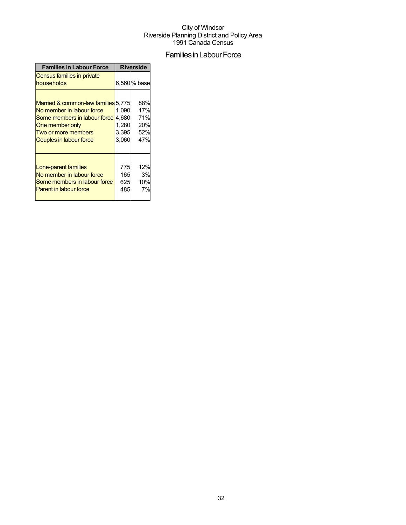## Families in Labour Force

| <b>Families in Labour Force</b>                                                                                                                                              | <b>Riverside</b>                          |                                        |
|------------------------------------------------------------------------------------------------------------------------------------------------------------------------------|-------------------------------------------|----------------------------------------|
| Census families in private<br>households                                                                                                                                     |                                           | 6,560% base                            |
| Married & common-law families 5,775<br>No member in labour force<br>Some members in labour force<br>One member only<br>Two or more members<br><b>Couples in labour force</b> | 1,090<br>4,680<br>1,280<br>3,395<br>3,060 | 88%<br>17%<br>71%<br>20%<br>52%<br>47% |
| Lone-parent families<br>No member in labour force<br>Some members in labour force<br><b>Parent in labour force</b>                                                           | 775<br>165<br>625<br>485                  | 12%<br>3%<br>10%<br>7%                 |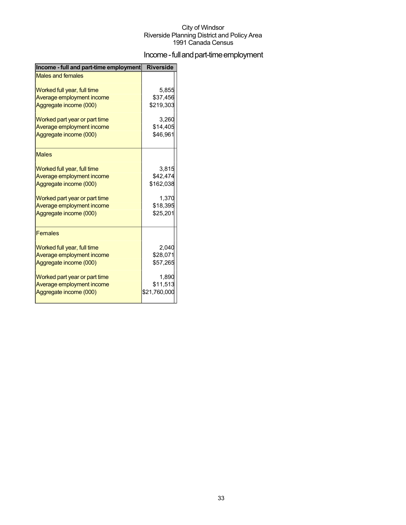## Income - full and part-time employment

| Income - full and part-time employment | <b>Riverside</b> |
|----------------------------------------|------------------|
| <b>Males and females</b>               |                  |
| Worked full year, full time            | 5,855            |
| Average employment income              | \$37,456         |
| Aggregate income (000)                 | \$219,303        |
| Worked part year or part time          | 3,260            |
| Average employment income              | \$14,405         |
| Aggregate income (000)                 | \$46,961         |
| <b>Males</b>                           |                  |
| Worked full year, full time            | 3,815            |
| Average employment income              | \$42,474         |
| Aggregate income (000)                 | \$162,038        |
| Worked part year or part time          | 1.370            |
| Average employment income              | \$18,395         |
| Aggregate income (000)                 | \$25,201         |
| <b>Females</b>                         |                  |
| Worked full year, full time            | 2,040            |
| Average employment income              | \$28,071         |
| Aggregate income (000)                 | \$57,265         |
| Worked part year or part time          | 1,890            |
| Average employment income              | \$11,513         |
| Aggregate income (000)                 | \$21,760,000     |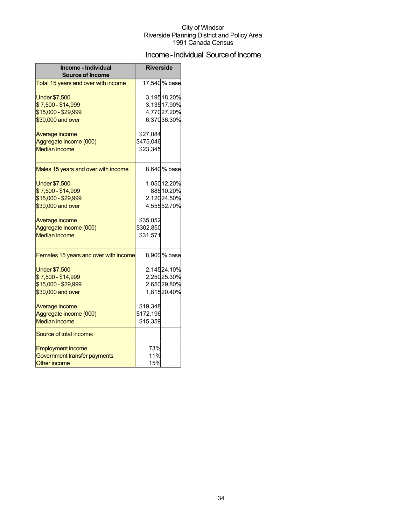## Income - Individual Source of Income

| Income - Individual<br><b>Source of Income</b> | <b>Riverside</b> |              |
|------------------------------------------------|------------------|--------------|
| Total 15 years and over with income            |                  | 17,540% base |
| <b>Under \$7,500</b>                           |                  | 3,19518.20%  |
| \$7,500 - \$14,999                             |                  | 3,13517.90%  |
| \$15,000 - \$29,999                            |                  | 4,77027.20%  |
| \$30,000 and over                              |                  | 6,37036.30%  |
| Average income                                 | \$27,084         |              |
| Aggregate income (000)                         | \$475,046        |              |
| <b>Median income</b>                           | \$23,345         |              |
| Males 15 years and over with income            |                  | 8,640% base  |
| <b>Under \$7,500</b>                           |                  | 1,050 12.20% |
| \$7,500 - \$14,999                             |                  | 88510.20%    |
| \$15,000 - \$29,999                            |                  | 2,12024.50%  |
| \$30,000 and over                              |                  | 4,55552.70%  |
| Average income                                 | \$35,052         |              |
| Aggregate income (000)                         | \$302,850        |              |
| <b>Median income</b>                           | \$31,571         |              |
| Females 15 years and over with income          |                  | 8,900 % base |
| <b>Under \$7,500</b>                           |                  | 2,14524.10%  |
| \$7,500 - \$14,999                             |                  | 2,25025.30%  |
| \$15,000 - \$29,999                            |                  | 2,65029.80%  |
| \$30,000 and over                              |                  | 1,81520.40%  |
| Average income                                 | \$19,348         |              |
| Aggregate income (000)                         | \$172,196        |              |
| <b>Median income</b>                           | \$15,359         |              |
| Source of total income:                        |                  |              |
| <b>Employment income</b>                       | 73%              |              |
| Government transfer payments                   | 11%              |              |
| <b>Other income</b>                            | 15%              |              |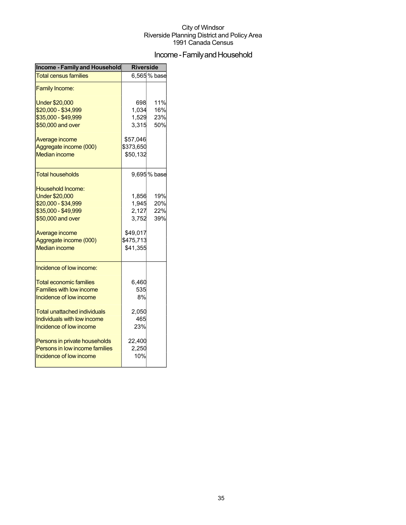## Income - Family and Household

| <b>Income - Family and Household</b> | <b>Riverside</b> |             |  |
|--------------------------------------|------------------|-------------|--|
| <b>Total census families</b>         |                  | 6,565% base |  |
| <b>Family Income:</b>                |                  |             |  |
| <b>Under \$20,000</b>                | 698              | 11%         |  |
| \$20,000 - \$34,999                  | 1,034            | 16%         |  |
| \$35,000 - \$49,999                  | 1,529            | 23%         |  |
| \$50,000 and over                    | 3,315            | 50%         |  |
| Average income                       | \$57,046         |             |  |
| Aggregate income (000)               | \$373,650        |             |  |
| <b>Median income</b>                 | \$50,132         |             |  |
| Total households                     |                  | 9,695% base |  |
| Household Income:                    |                  |             |  |
| <b>Under \$20,000</b>                | 1,856            | 19%         |  |
| \$20,000 - \$34,999                  | 1,945            | 20%         |  |
| \$35,000 - \$49,999                  | 2,127            | 22%         |  |
| \$50,000 and over                    | 3,752            | 39%         |  |
| Average income                       | \$49,017         |             |  |
| Aggregate income (000)               | \$475,713        |             |  |
| <b>Median income</b>                 | \$41,355         |             |  |
| Incidence of low income:             |                  |             |  |
| <b>Total economic families</b>       | 6,460            |             |  |
| <b>Families with low income</b>      | 535              |             |  |
| Incidence of low income              | 8%               |             |  |
| <b>Total unattached individuals</b>  | 2,050            |             |  |
| Individuals with low income          | 465              |             |  |
| Incidence of low income              | 23%              |             |  |
| Persons in private households        | 22,400           |             |  |
| Persons in low income families       | 2,250            |             |  |
| Incidence of low income              | 10%              |             |  |